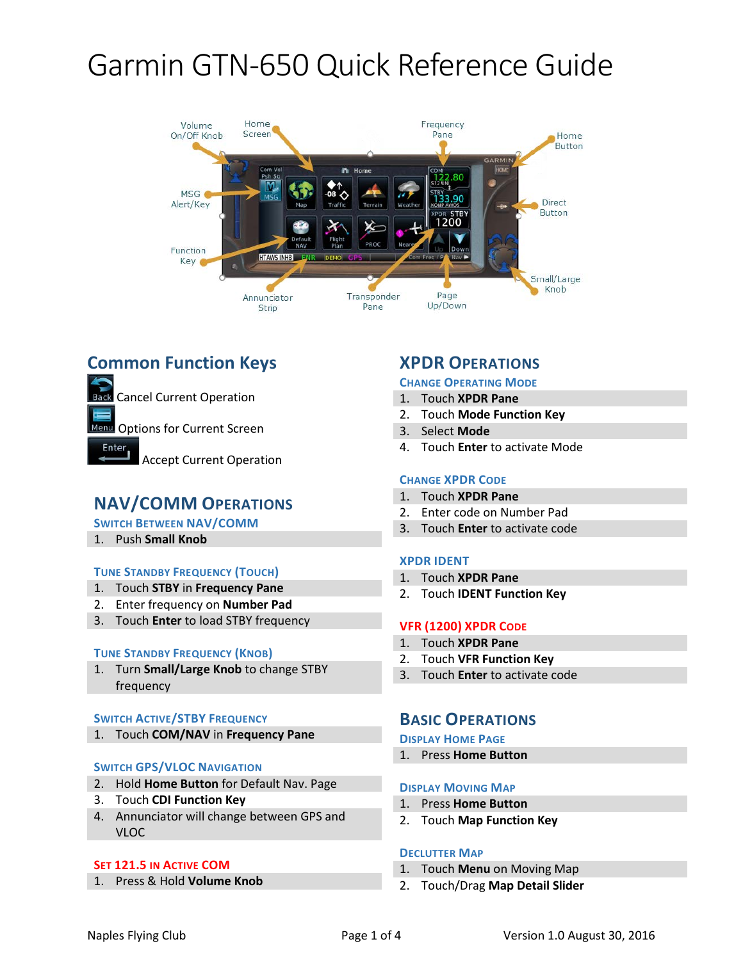

# **Common Function Keys**

Cancel Current Operation

Menu Options for Current Screen

Enter

Accept Current Operation

## **NAV/COMM OPERATIONS**

**SWITCH BETWEEN NAV/COMM**

1. Push **Small Knob**

## **TUNE STANDBY FREQUENCY (TOUCH)**

- 1. Touch **STBY** in **Frequency Pane**
- 2. Enter frequency on **Number Pad**
- 3. Touch **Enter** to load STBY frequency

#### **TUNE STANDBY FREQUENCY (KNOB)**

1. Turn **Small/Large Knob** to change STBY frequency

#### **SWITCH ACTIVE/STBY FREQUENCY**

1. Touch **COM/NAV** in **Frequency Pane**

#### **SWITCH GPS/VLOC NAVIGATION**

- 2. Hold **Home Button** for Default Nav. Page
- 3. Touch **CDI Function Key**
- 4. Annunciator will change between GPS and VLOC

#### **SET 121.5 IN ACTIVE COM**

1. Press & Hold **Volume Knob**

## **XPDR OPERATIONS**

#### **CHANGE OPERATING MODE**

- 1. Touch **XPDR Pane**
- 2. Touch **Mode Function Key**
- 3. Select **Mode**
- 4. Touch **Enter** to activate Mode

#### **CHANGE XPDR CODE**

- 1. Touch **XPDR Pane**
- 2. Enter code on Number Pad
- 3. Touch **Enter** to activate code

### **XPDR IDENT**

- 1. Touch **XPDR Pane**
- 2. Touch **IDENT Function Key**

#### **VFR (1200) XPDR CODE**

- 1. Touch **XPDR Pane**
- 2. Touch **VFR Function Key**
- 3. Touch **Enter** to activate code

## **BASIC OPERATIONS**

#### **DISPLAY HOME PAGE**

1. Press **Home Button**

#### **DISPLAY MOVING MAP**

- 1. Press **Home Button**
- 2. Touch **Map Function Key**

#### **DECLUTTER MAP**

- 1. Touch **Menu** on Moving Map
- 2. Touch/Drag **Map Detail Slider**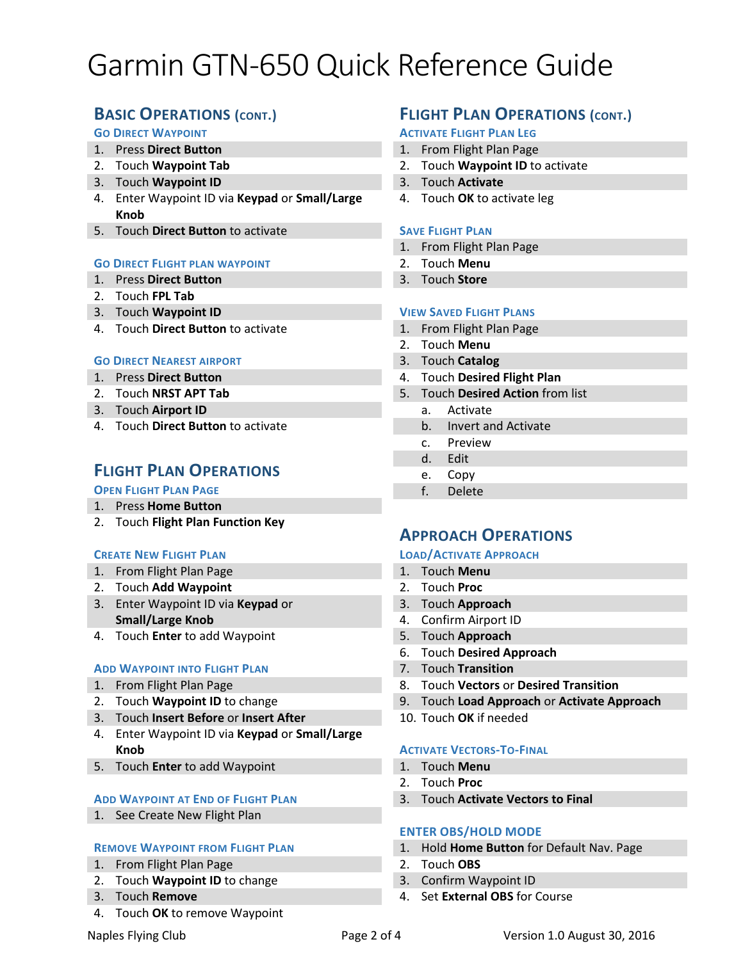# **BASIC OPERATIONS (CONT.)**

### **GO DIRECT WAYPOINT**

- 1. Press **Direct Button**
- 2. Touch **Waypoint Tab**
- 3. Touch **Waypoint ID**
- 4. Enter Waypoint ID via **Keypad** or **Small/Large Knob**
- 5. Touch **Direct Button** to activate

#### **GO DIRECT FLIGHT PLAN WAYPOINT**

- 1. Press **Direct Button**
- 2. Touch **FPL Tab**
- 3. Touch **Waypoint ID**
- 4. Touch **Direct Button** to activate

#### **GO DIRECT NEAREST AIRPORT**

- 1. Press **Direct Button**
- 2. Touch **NRST APT Tab**
- 3. Touch **Airport ID**
- 4. Touch **Direct Button** to activate

## **FLIGHT PLAN OPERATIONS**

#### **OPEN FLIGHT PLAN PAGE**

- 1. Press **Home Button**
- 2. Touch **Flight Plan Function Key**

#### **CREATE NEW FLIGHT PLAN**

- 1. From Flight Plan Page
- 2. Touch **Add Waypoint**
- 3. Enter Waypoint ID via **Keypad** or **Small/Large Knob**
- 4. Touch **Enter** to add Waypoint

#### **ADD WAYPOINT INTO FLIGHT PLAN**

- 1. From Flight Plan Page
- 2. Touch **Waypoint ID** to change
- 3. Touch **Insert Before** or **Insert After**
- 4. Enter Waypoint ID via **Keypad** or **Small/Large Knob**
- 5. Touch **Enter** to add Waypoint

#### **ADD WAYPOINT AT END OF FLIGHT PLAN**

1. See Create New Flight Plan

#### **REMOVE WAYPOINT FROM FLIGHT PLAN**

- 1. From Flight Plan Page
- 2. Touch **Waypoint ID** to change
- 3. Touch **Remove**
- 4. Touch **OK** to remove Waypoint

# **FLIGHT PLAN OPERATIONS (CONT.)**

## **ACTIVATE FLIGHT PLAN LEG**

- 1. From Flight Plan Page
- 2. Touch **Waypoint ID** to activate
- 3. Touch **Activate**
- 4. Touch **OK** to activate leg

#### **SAVE FLIGHT PLAN**

- 1. From Flight Plan Page
- 2. Touch **Menu**
- 3. Touch **Store**

#### **VIEW SAVED FLIGHT PLANS**

- 1. From Flight Plan Page
- 2. Touch **Menu**
- 3. Touch **Catalog**
- 4. Touch **Desired Flight Plan**
- 5. Touch **Desired Action** from list
	- a. Activate
	- b. Invert and Activate
	- c. Preview
	- d. Edit
	- e. Copy
	- f. Delete

## **APPROACH OPERATIONS**

#### **LOAD/ACTIVATE APPROACH**

- 1. Touch **Menu**
- 2. Touch **Proc**
- 3. Touch **Approach**
- 4. Confirm Airport ID
- 5. Touch **Approach**
- 6. Touch **Desired Approach**
- 7. Touch **Transition**
- 8. Touch **Vectors** or **Desired Transition**
- 9. Touch **Load Approach** or **Activate Approach**
- 10. Touch **OK** if needed

#### **ACTIVATE VECTORS-TO-FINAL**

- 1. Touch **Menu**
- 2. Touch **Proc**
- 3. Touch **Activate Vectors to Final**

#### **ENTER OBS/HOLD MODE**

- 1. Hold **Home Button** for Default Nav. Page
- 2. Touch **OBS**
- 3. Confirm Waypoint ID
- 4. Set **External OBS** for Course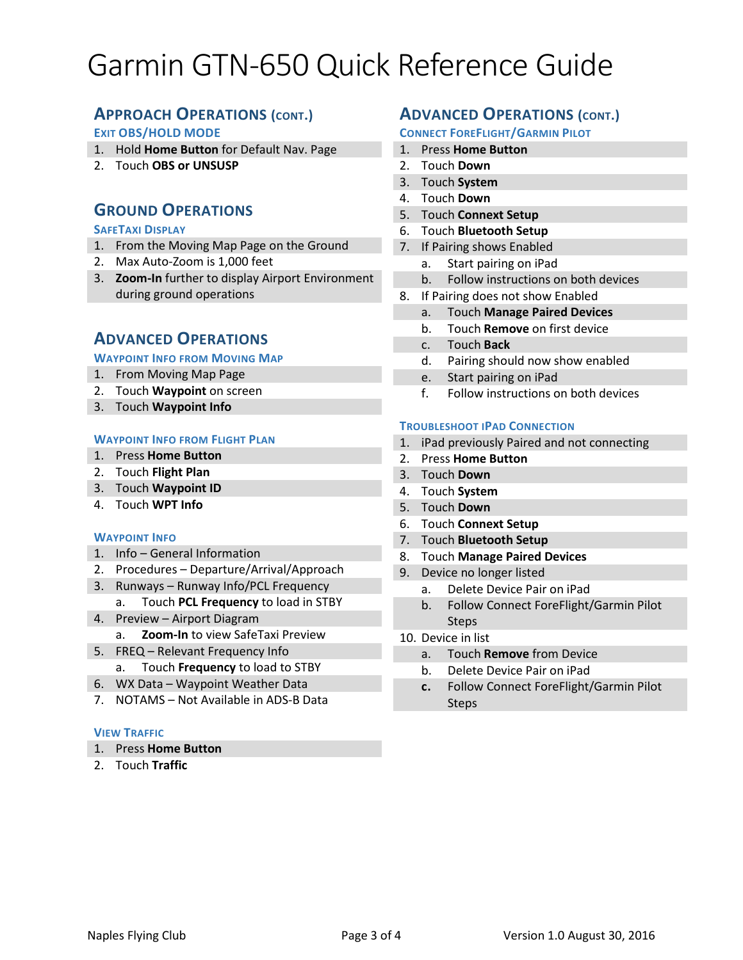# **APPROACH OPERATIONS (CONT.)**

## **EXIT OBS/HOLD MODE**

- 1. Hold **Home Button** for Default Nav. Page
- 2. Touch **OBS or UNSUSP**

# **GROUND OPERATIONS**

## **SAFETAXI DISPLAY**

- 1. From the Moving Map Page on the Ground
- 2. Max Auto-Zoom is 1,000 feet
- 3. **Zoom-In** further to display Airport Environment during ground operations

## **ADVANCED OPERATIONS**

#### **WAYPOINT INFO FROM MOVING MAP**

- 1. From Moving Map Page
- 2. Touch **Waypoint** on screen
- 3. Touch **Waypoint Info**

#### **WAYPOINT INFO FROM FLIGHT PLAN**

- 1. Press **Home Button**
- 2. Touch **Flight Plan**
- 3. Touch **Waypoint ID**
- 4. Touch **WPT Info**

#### **WAYPOINT INFO**

- 1. Info General Information
- 2. Procedures Departure/Arrival/Approach
- 3. Runways Runway Info/PCL Frequency
	- a. Touch **PCL Frequency** to load in STBY
- 4. Preview Airport Diagram
	- a. **Zoom-In** to view SafeTaxi Preview
- 5. FREQ Relevant Frequency Info
	- a. Touch **Frequency** to load to STBY
- 6. WX Data Waypoint Weather Data
- 7. NOTAMS Not Available in ADS-B Data

## **VIEW TRAFFIC**

- 1. Press **Home Button**
- 2. Touch **Traffic**

# **ADVANCED OPERATIONS (CONT.)**

### **CONNECT FOREFLIGHT/GARMIN PILOT**

- 1. Press **Home Button**
- 2. Touch **Down**
- 3. Touch **System**
- 4. Touch **Down**
- 5. Touch **Connext Setup**
- 6. Touch **Bluetooth Setup**
- 7. If Pairing shows Enabled
	- a. Start pairing on iPad
	- b. Follow instructions on both devices
- 8. If Pairing does not show Enabled
	- a. Touch **Manage Paired Devices**
	- b. Touch **Remove** on first device
	- c. Touch **Back**
	- d. Pairing should now show enabled
	- e. Start pairing on iPad
	- f. Follow instructions on both devices

#### **TROUBLESHOOT IPAD CONNECTION**

- 1. iPad previously Paired and not connecting
- 2. Press **Home Button**
- 3. Touch **Down**
- 4. Touch **System**
- 5. Touch **Down**
- 6. Touch **Connext Setup**
- 7. Touch **Bluetooth Setup**
- 8. Touch **Manage Paired Devices**
- 9. Device no longer listed
	- a. Delete Device Pair on iPad
	- b. Follow Connect ForeFlight/Garmin Pilot Steps
- 10. Device in list
	- a. Touch **Remove** from Device
	- b. Delete Device Pair on iPad
	- **c.** Follow Connect ForeFlight/Garmin Pilot **Steps**